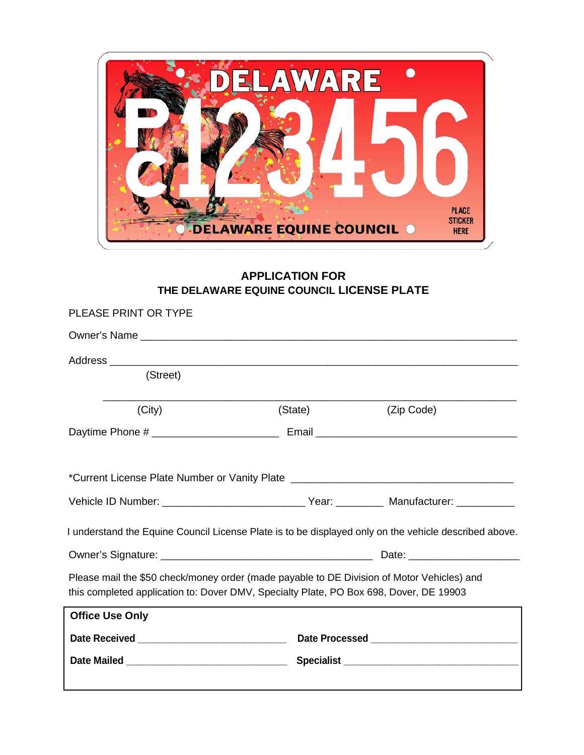

## **APPLICATION FOR THE DELAWARE EQUINE COUNCIL LICENSE PLATE**

| PLEASE PRINT OR TYPE                                                                                                                                                                 |         |            |  |  |
|--------------------------------------------------------------------------------------------------------------------------------------------------------------------------------------|---------|------------|--|--|
|                                                                                                                                                                                      |         |            |  |  |
|                                                                                                                                                                                      |         |            |  |  |
| (Street)                                                                                                                                                                             |         |            |  |  |
| (City)                                                                                                                                                                               | (State) | (Zip Code) |  |  |
|                                                                                                                                                                                      |         |            |  |  |
|                                                                                                                                                                                      |         |            |  |  |
|                                                                                                                                                                                      |         |            |  |  |
| Vehicle ID Number: __________________________________Year: ____________ Manufacturer: _____________                                                                                  |         |            |  |  |
| I understand the Equine Council License Plate is to be displayed only on the vehicle described above.                                                                                |         |            |  |  |
|                                                                                                                                                                                      |         |            |  |  |
| Please mail the \$50 check/money order (made payable to DE Division of Motor Vehicles) and<br>this completed application to: Dover DMV, Specialty Plate, PO Box 698, Dover, DE 19903 |         |            |  |  |
| <b>Office Use Only</b>                                                                                                                                                               |         |            |  |  |
|                                                                                                                                                                                      |         |            |  |  |
|                                                                                                                                                                                      |         |            |  |  |
|                                                                                                                                                                                      |         |            |  |  |